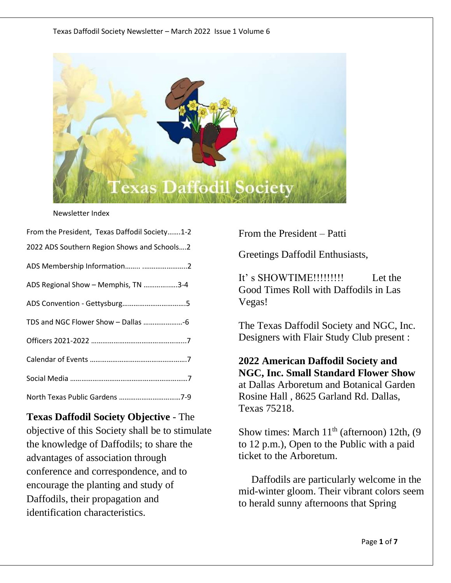

#### Newsletter Index

| From the President, Texas Daffodil Society1-2 |
|-----------------------------------------------|
| 2022 ADS Southern Region Shows and Schools2   |
|                                               |
| ADS Regional Show - Memphis, TN 3-4           |
|                                               |
| TDS and NGC Flower Show - Dallas -6           |
|                                               |
|                                               |
|                                               |
| North Texas Public Gardens 7-9                |

**Texas Daffodil Society Objective** - The objective of this Society shall be to stimulate the knowledge of Daffodils; to share the advantages of association through conference and correspondence, and to encourage the planting and study of Daffodils, their propagation and identification characteristics.

From the President – Patti

Greetings Daffodil Enthusiasts,

It' s SHOWTIME!!!!!!!!! Let the Good Times Roll with Daffodils in Las Vegas!

The Texas Daffodil Society and NGC, Inc. Designers with Flair Study Club present :

**2022 American Daffodil Society and NGC, Inc. Small Standard Flower Show** at Dallas Arboretum and Botanical Garden Rosine Hall , 8625 Garland Rd. Dallas, Texas 75218.

Show times: March  $11<sup>th</sup>$  (afternoon) 12th, (9 to 12 p.m.), Open to the Public with a paid ticket to the Arboretum.

 Daffodils are particularly welcome in the mid-winter gloom. Their vibrant colors seem to herald sunny afternoons that Spring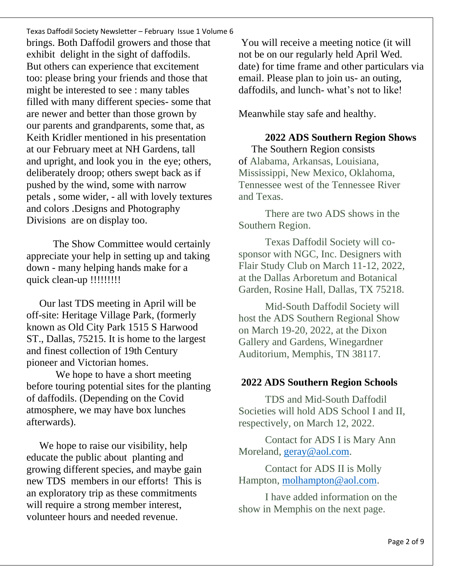Texas Daffodil Society Newsletter – February Issue 1 Volume 6 brings. Both Daffodil growers and those that exhibit delight in the sight of daffodils. But others can experience that excitement too: please bring your friends and those that might be interested to see : many tables filled with many different species- some that are newer and better than those grown by our parents and grandparents, some that, as Keith Kridler mentioned in his presentation at our February meet at NH Gardens, tall and upright, and look you in the eye; others, deliberately droop; others swept back as if pushed by the wind, some with narrow petals , some wider, - all with lovely textures and colors .Designs and Photography Divisions are on display too.

The Show Committee would certainly appreciate your help in setting up and taking down - many helping hands make for a quick clean-up !!!!!!!!!

 Our last TDS meeting in April will be off-site: Heritage Village Park, (formerly known as Old City Park 1515 S Harwood ST., Dallas, 75215. It is home to the largest and finest collection of 19th Century pioneer and Victorian homes.

We hope to have a short meeting before touring potential sites for the planting of daffodils. (Depending on the Covid atmosphere, we may have box lunches afterwards).

We hope to raise our visibility, help educate the public about planting and growing different species, and maybe gain new TDS members in our efforts! This is an exploratory trip as these commitments will require a strong member interest, volunteer hours and needed revenue.

You will receive a meeting notice (it will not be on our regularly held April Wed. date) for time frame and other particulars via email. Please plan to join us- an outing, daffodils, and lunch- what's not to like!

Meanwhile stay safe and healthy.

**2022 ADS Southern Region Shows**  The Southern Region consists of Alabama, Arkansas, Louisiana, Mississippi, New Mexico, Oklahoma, Tennessee west of the Tennessee River and Texas.

There are two ADS shows in the Southern Region.

Texas Daffodil Society will cosponsor with NGC, Inc. Designers with Flair Study Club on March 11-12, 2022, at the Dallas Arboretum and Botanical Garden, Rosine Hall, Dallas, TX 75218.

Mid-South Daffodil Society will host the ADS Southern Regional Show on March 19-20, 2022, at the Dixon Gallery and Gardens, Winegardner Auditorium, Memphis, TN 38117.

#### **2022 ADS Southern Region Schools**

TDS and Mid-South Daffodil Societies will hold ADS School I and II, respectively, on March 12, 2022.

Contact for ADS I is Mary Ann Moreland, [geray@aol.com.](mailto:geray@aol.com)

Contact for ADS II is Molly Hampton, [molhampton@aol.com.](mailto:molhampton@aol.com)

I have added information on the show in Memphis on the next page.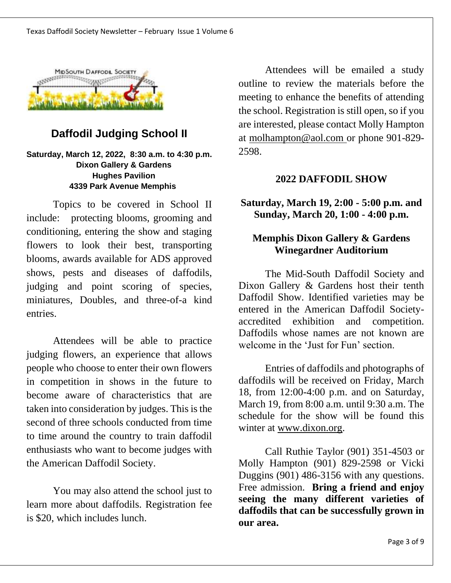

# **Daffodil Judging School II**

#### **Saturday, March 12, 2022, 8:30 a.m. to 4:30 p.m. Dixon Gallery & Gardens Hughes Pavilion 4339 Park Avenue Memphis**

Topics to be covered in School II include: protecting blooms, grooming and conditioning, entering the show and staging flowers to look their best, transporting blooms, awards available for ADS approved shows, pests and diseases of daffodils, judging and point scoring of species, miniatures, Doubles, and three-of-a kind entries.

Attendees will be able to practice judging flowers, an experience that allows people who choose to enter their own flowers in competition in shows in the future to become aware of characteristics that are taken into consideration by judges. This is the second of three schools conducted from time to time around the country to train daffodil enthusiasts who want to become judges with the American Daffodil Society.

You may also attend the school just to learn more about daffodils. Registration fee is \$20, which includes lunch.

Attendees will be emailed a study outline to review the materials before the meeting to enhance the benefits of attending the school. Registration is still open, so if you are interested, please contact Molly Hampton at [molhampton@aol.com](mailto:molhampton@aol.com) or phone 901-829- 2598.

#### **2022 DAFFODIL SHOW**

**Saturday, March 19, 2:00 - 5:00 p.m. and Sunday, March 20, 1:00 - 4:00 p.m.**

# **Memphis Dixon Gallery & Gardens Winegardner Auditorium**

The Mid-South Daffodil Society and Dixon Gallery & Gardens host their tenth Daffodil Show. Identified varieties may be entered in the American Daffodil Societyaccredited exhibition and competition. Daffodils whose names are not known are welcome in the 'Just for Fun' section.

Entries of daffodils and photographs of daffodils will be received on Friday, March 18, from 12:00-4:00 p.m. and on Saturday, March 19, from 8:00 a.m. until 9:30 a.m. The schedule for the show will be found this winter at [www.dixon.org.](http://www.dixon.org/)

Call Ruthie Taylor (901) 351-4503 or Molly Hampton (901) 829-2598 or Vicki Duggins (901) 486-3156 with any questions. Free admission. **Bring a friend and enjoy seeing the many different varieties of daffodils that can be successfully grown in our area.**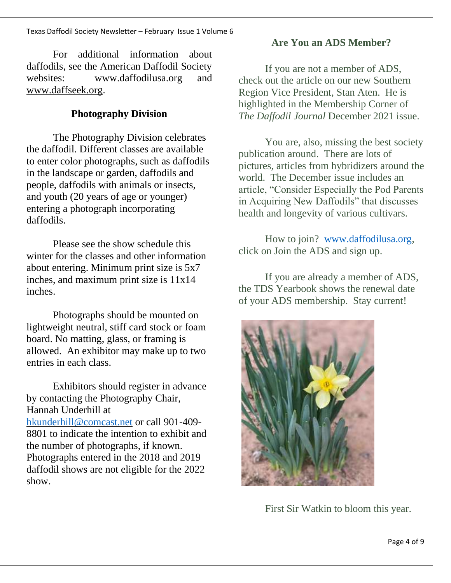For additional information about daffodils, see the American Daffodil Society websites: [www.daffodilusa.org](http://www.daffodilusa.org/) and [www.daffseek.org.](http://www.daffseek.org/)

### **Photography Division**

The Photography Division celebrates the daffodil. Different classes are available to enter color photographs, such as daffodils in the landscape or garden, daffodils and people, daffodils with animals or insects, and youth (20 years of age or younger) entering a photograph incorporating daffodils.

Please see the show schedule this winter for the classes and other information about entering. Minimum print size is 5x7 inches, and maximum print size is 11x14 inches.

Photographs should be mounted on lightweight neutral, stiff card stock or foam board. No matting, glass, or framing is allowed. An exhibitor may make up to two entries in each class.

Exhibitors should register in advance by contacting the Photography Chair, Hannah Underhill at [hkunderhill@comcast.net](mailto:hkunderhill@comcast.net) or call 901-409- 8801 to indicate the intention to exhibit and the number of photographs, if known. Photographs entered in the 2018 and 2019 daffodil shows are not eligible for the 2022 show.

# **Are You an ADS Member?**

If you are not a member of ADS, check out the article on our new Southern Region Vice President, Stan Aten. He is highlighted in the Membership Corner of *The Daffodil Journal* December 2021 issue.

You are, also, missing the best society publication around. There are lots of pictures, articles from hybridizers around the world. The December issue includes an article, "Consider Especially the Pod Parents in Acquiring New Daffodils" that discusses health and longevity of various cultivars.

How to join? [www.daffodilusa.org,](http://www.daffodilusa.org/) click on Join the ADS and sign up.

If you are already a member of ADS, the TDS Yearbook shows the renewal date of your ADS membership. Stay current!



First Sir Watkin to bloom this year.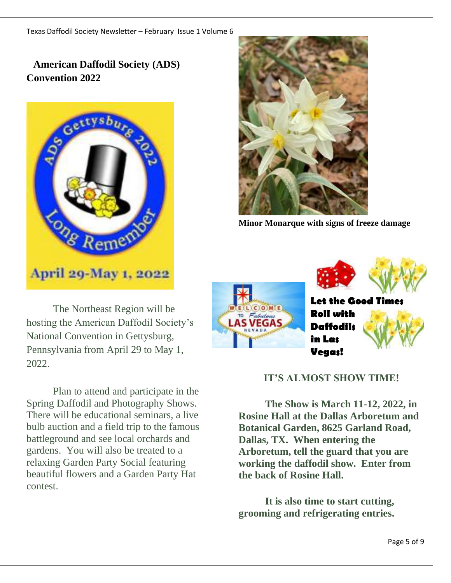# **American Daffodil Society (ADS) Convention 2022**



The Northeast Region will be hosting the American Daffodil Society's National Convention in Gettysburg, Pennsylvania from April 29 to May 1, 2022.

Plan to attend and participate in the Spring Daffodil and Photography Shows. There will be educational seminars, a live bulb auction and a field trip to the famous battleground and see local orchards and gardens. You will also be treated to a relaxing Garden Party Social featuring beautiful flowers and a Garden Party Hat contest.



**Minor Monarque with signs of freeze damage** 



**Let the Good Tin Roll with Daffodils in Las Vegas!**



## **IT'S ALMOST SHOW TIME!**

**The Show is March 11-12, 2022, in Rosine Hall at the Dallas Arboretum and Botanical Garden, 8625 Garland Road, Dallas, TX. When entering the Arboretum, tell the guard that you are working the daffodil show. Enter from the back of Rosine Hall.** 

**It is also time to start cutting, grooming and refrigerating entries.**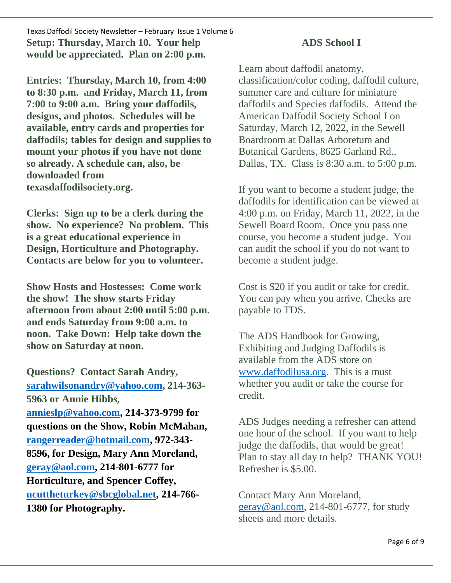Texas Daffodil Society Newsletter – February Issue 1 Volume 6 **Setup: Thursday, March 10. Your help would be appreciated. Plan on 2:00 p.m.** 

**Entries: Thursday, March 10, from 4:00 to 8:30 p.m. and Friday, March 11, from 7:00 to 9:00 a.m. Bring your daffodils, designs, and photos. Schedules will be available, entry cards and properties for daffodils; tables for design and supplies to mount your photos if you have not done so already. A schedule can, also, be downloaded from texasdaffodilsociety.org.** 

**Clerks: Sign up to be a clerk during the show. No experience? No problem. This is a great educational experience in Design, Horticulture and Photography. Contacts are below for you to volunteer.**

**Show Hosts and Hostesses: Come work the show! The show starts Friday afternoon from about 2:00 until 5:00 p.m. and ends Saturday from 9:00 a.m. to noon. Take Down: Help take down the show on Saturday at noon.** 

**Questions? Contact Sarah Andry, [sarahwilsonandry@yahoo.com,](mailto:sarahwilsonandry@yahoo.com) 214-363- 5963 or Annie Hibbs, [annieslp@yahoo.com,](mailto:annieslp@yahoo.com) 214-373-9799 for questions on the Show, Robin McMahan, [rangerreader@hotmail.com,](mailto:rangerreader@hotmail.com) 972-343- 8596, for Design, Mary Ann Moreland, [geray@aol.com,](mailto:geray@aol.com) 214-801-6777 for Horticulture, and Spencer Coffey, [ucuttheturkey@sbcglobal.net,](mailto:ucuttheturkey@sbcglobal.net) 214-766- 1380 for Photography.**

## **ADS School I**

Learn about daffodil anatomy, classification/color coding, daffodil culture, summer care and culture for miniature daffodils and Species daffodils. Attend the American Daffodil Society School I on Saturday, March 12, 2022, in the Sewell Boardroom at Dallas Arboretum and Botanical Gardens, 8625 Garland Rd., Dallas, TX. Class is 8:30 a.m. to 5:00 p.m.

If you want to become a student judge, the daffodils for identification can be viewed at 4:00 p.m. on Friday, March 11, 2022, in the Sewell Board Room. Once you pass one course, you become a student judge. You can audit the school if you do not want to become a student judge.

Cost is \$20 if you audit or take for credit. You can pay when you arrive. Checks are payable to TDS.

The ADS Handbook for Growing, Exhibiting and Judging Daffodils is available from the ADS store on [www.daffodilusa.org.](http://www.daffodilusa.org/) This is a must whether you audit or take the course for credit.

ADS Judges needing a refresher can attend one hour of the school. If you want to help judge the daffodils, that would be great! Plan to stay all day to help? THANK YOU! Refresher is \$5.00.

Contact Mary Ann Moreland, [geray@aol.com,](mailto:geray@aol.com) 214-801-6777, for study sheets and more details.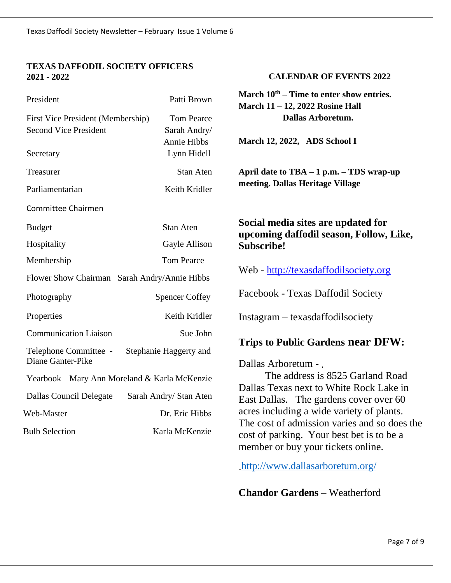#### **TEXAS DAFFODIL SOCIETY OFFICERS 2021 - 2022**

| President                                    | Patti Brown                | March $10^{th}$ – Time to enter show entries.<br>March 11 - 12, 2022 Rosine Hall                                                                                                                                       |  |
|----------------------------------------------|----------------------------|------------------------------------------------------------------------------------------------------------------------------------------------------------------------------------------------------------------------|--|
| First Vice President (Membership)            | <b>Tom Pearce</b>          | <b>Dallas Arboretum.</b>                                                                                                                                                                                               |  |
| <b>Second Vice President</b>                 | Sarah Andry/               |                                                                                                                                                                                                                        |  |
| Secretary                                    | Annie Hibbs<br>Lynn Hidell | March 12, 2022, ADS School I                                                                                                                                                                                           |  |
| Treasurer                                    | Stan Aten                  | April date to $TBA - 1 p.m. - TDS$ wrap-up<br>meeting. Dallas Heritage Village                                                                                                                                         |  |
| Parliamentarian                              | Keith Kridler              |                                                                                                                                                                                                                        |  |
| Committee Chairmen                           |                            |                                                                                                                                                                                                                        |  |
| <b>Budget</b>                                | Stan Aten                  | Social media sites are updated for<br>upcoming daffodil season, Follow, Like,<br><b>Subscribe!</b>                                                                                                                     |  |
| Hospitality                                  | Gayle Allison              |                                                                                                                                                                                                                        |  |
| Membership                                   | <b>Tom Pearce</b>          |                                                                                                                                                                                                                        |  |
| Flower Show Chairman Sarah Andry/Annie Hibbs |                            | Web - http://texasdaffodilsociety.org                                                                                                                                                                                  |  |
| Photography                                  | <b>Spencer Coffey</b>      | Facebook - Texas Daffodil Society                                                                                                                                                                                      |  |
| Properties                                   | Keith Kridler              | Instagram - texasdaffodilsociety                                                                                                                                                                                       |  |
| <b>Communication Liaison</b>                 | Sue John                   | <b>Trips to Public Gardens near DFW:</b><br>Dallas Arboretum - .                                                                                                                                                       |  |
| Telephone Committee -<br>Diane Ganter-Pike   | Stephanie Haggerty and     |                                                                                                                                                                                                                        |  |
| Yearbook Mary Ann Moreland & Karla McKenzie  |                            | The address is 8525 Garland Road<br>Dallas Texas next to White Rock Lake in                                                                                                                                            |  |
| <b>Dallas Council Delegate</b>               | Sarah Andry/ Stan Aten     | East Dallas. The gardens cover over 60<br>acres including a wide variety of plants.<br>The cost of admission varies and so does the<br>cost of parking. Your best bet is to be a<br>member or buy your tickets online. |  |
| Web-Master                                   | Dr. Eric Hibbs             |                                                                                                                                                                                                                        |  |
| <b>Bulb Selection</b>                        | Karla McKenzie             |                                                                                                                                                                                                                        |  |

[http://www.dallasarboretum.org/](about:blank)

**CALENDAR OF EVENTS 2022**

**Chandor Gardens** – Weatherford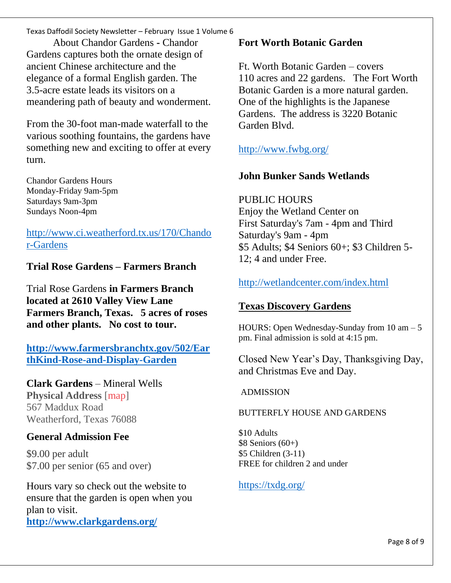Texas Daffodil Society Newsletter – February Issue 1 Volume 6

About Chandor Gardens **-** Chandor Gardens captures both the ornate design of ancient Chinese architecture and the elegance of a formal English garden. The 3.5-acre estate leads its visitors on a meandering path of beauty and wonderment.

From the 30-foot man-made waterfall to the various soothing fountains, the gardens have something new and exciting to offer at every turn.

Chandor Gardens Hours Monday-Friday 9am-5pm Saturdays 9am-3pm Sundays Noon-4pm

[http://www.ci.weatherford.tx.us/170/Chando](about:blank) [r-Gardens](about:blank)

**Trial Rose Gardens – Farmers Branch**

Trial Rose Gardens **in Farmers Branch located at 2610 Valley View Lane Farmers Branch, Texas. 5 acres of roses and other plants. No cost to tour.**

**[http://www.farmersbranchtx.gov/502/Ear](about:blank) [thKind-Rose-and-Display-Garden](about:blank)**

**Clark Gardens** – Mineral Wells

**Physical Address** [\[map\]](about:blank) 567 Maddux Road Weatherford, Texas 76088

## **General Admission Fee**

\$9.00 per adult \$7.00 per senior (65 and over)

Hours vary so check out the website to ensure that the garden is open when you plan to visit.

**[http://www.clarkgardens.org/](about:blank)**

#### **Fort Worth Botanic Garden**

Ft. Worth Botanic Garden – covers 110 acres and 22 gardens. The Fort Worth Botanic Garden is a more natural garden. One of the highlights is the Japanese Gardens. The address is 3220 Botanic Garden Blvd.

[http://www.fwbg.org/](about:blank)

# **John Bunker Sands Wetlands**

PUBLIC HOURS Enjoy the Wetland Center on First Saturday's 7am - 4pm and Third Saturday's 9am - 4pm \$5 Adults; \$4 Seniors 60+; \$3 Children 5- 12; 4 and under Free.

# [http://wetlandcenter.com/index.html](about:blank)

# **Texas Discovery Gardens**

HOURS: Open Wednesday-Sunday from  $10 \text{ am} - 5$ pm. Final admission is sold at 4:15 pm.

Closed New Year's Day, Thanksgiving Day, and Christmas Eve and Day.

#### ADMISSION

#### BUTTERFLY HOUSE AND GARDENS

\$10 Adults  $$8$  Seniors (60+) \$5 Children (3-11) FREE for children 2 and under

[https://txdg.org/](about:blank)